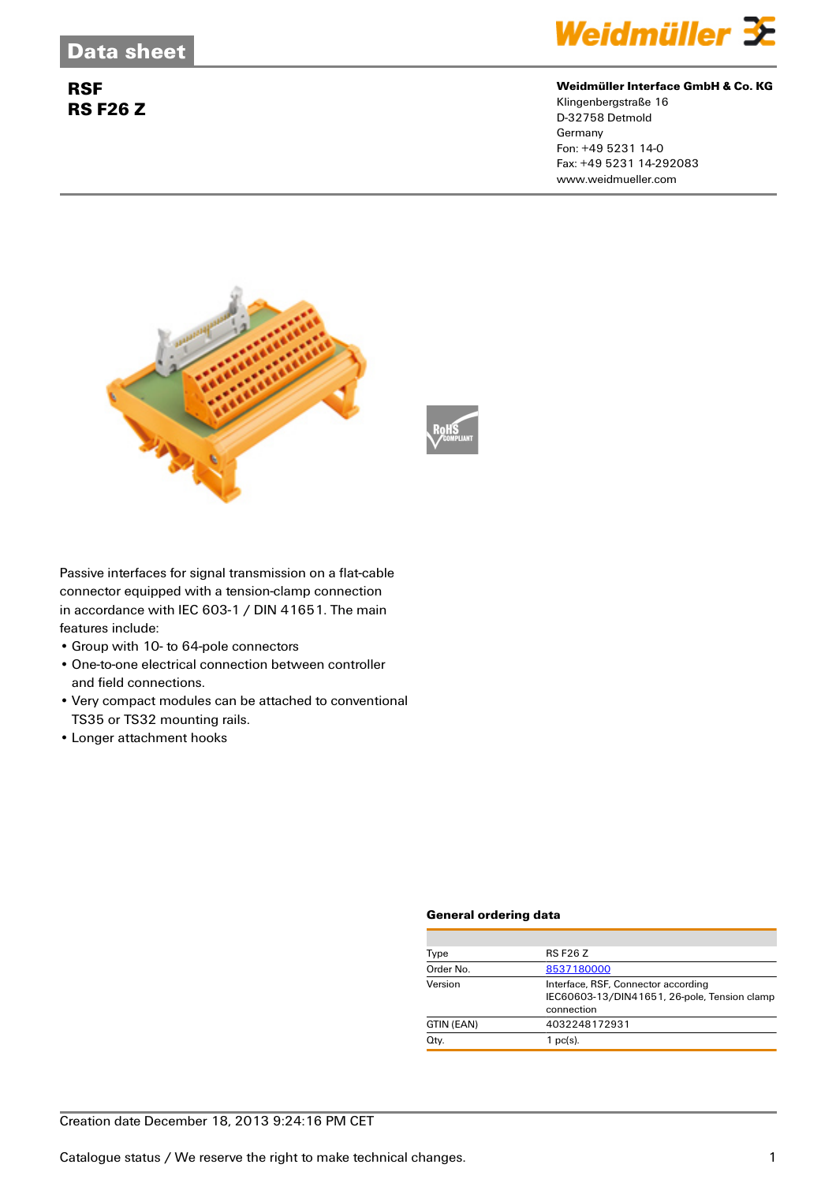## **RSF RS F26 Z**



#### **Weidmüller Interface GmbH & Co. KG**

Klingenbergstraße 16 D-32758 Detmold Germany Fon: +49 5231 14-0 Fax: +49 5231 14-292083 www.weidmueller.com





Passive interfaces for signal transmission on a flat-cable connector equipped with a tension-clamp connection in accordance with IEC 603-1 / DIN 41651. The main features include:

- Group with 10- to 64-pole connectors
- One-to-one electrical connection between controller and field connections.
- Very compact modules can be attached to conventional TS35 or TS32 mounting rails.
- Longer attachment hooks

#### **General ordering data**

| Type       | <b>RS F26 Z</b>                                                                                   |
|------------|---------------------------------------------------------------------------------------------------|
| Order No.  | 8537180000                                                                                        |
| Version    | Interface, RSF, Connector according<br>IEC60603-13/DIN41651, 26-pole, Tension clamp<br>connection |
| GTIN (EAN) | 4032248172931                                                                                     |
| Qty.       | $1$ pc(s).                                                                                        |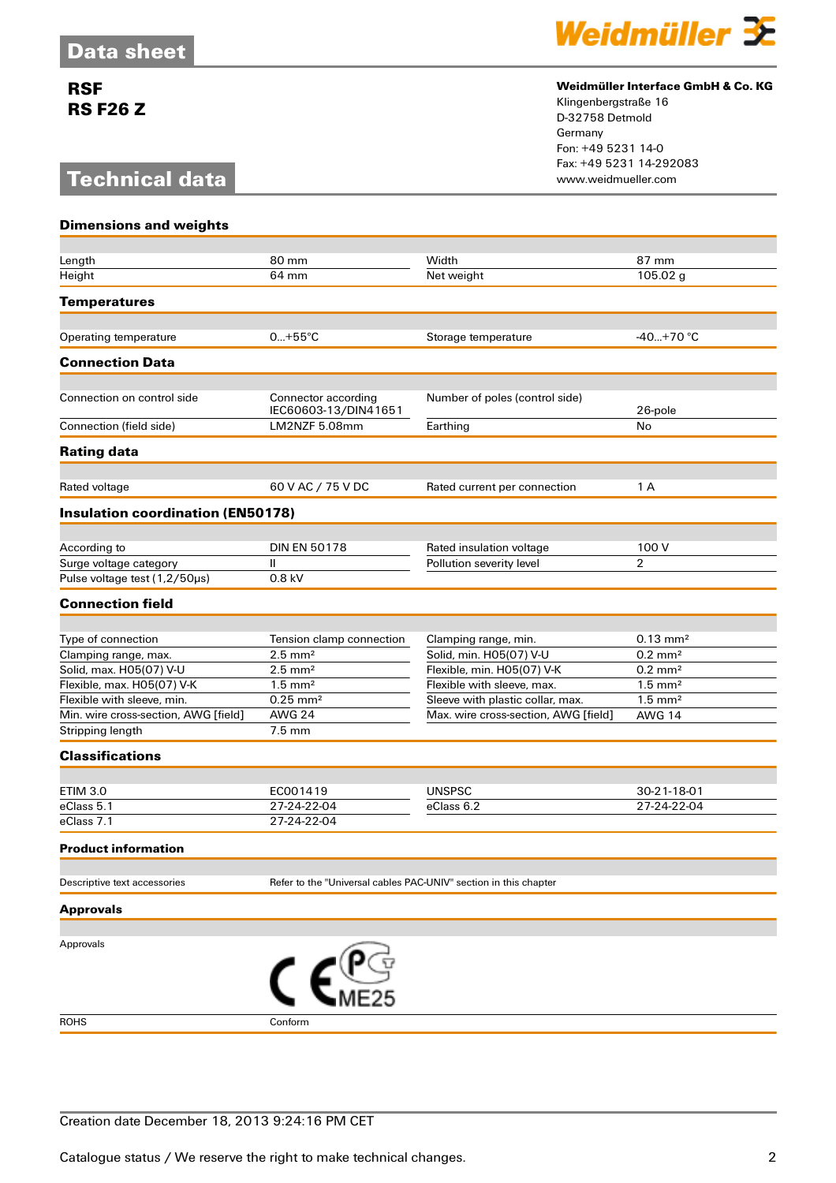## **RSF RS F26 Z**

# **Technical data**



### **Weidmüller Interface GmbH & Co. KG**

Klingenbergstraße 16 D-32758 Detmold Germany Fon: +49 5231 14-0 Fax: +49 5231 14-292083

| <b>Dimensions and weights</b>            |                                                                  |                                      |                       |
|------------------------------------------|------------------------------------------------------------------|--------------------------------------|-----------------------|
|                                          |                                                                  |                                      |                       |
| Length                                   | 80 mm                                                            | Width                                | 87 mm                 |
| Height                                   | 64 mm                                                            | Net weight                           | 105.02 g              |
| <b>Temperatures</b>                      |                                                                  |                                      |                       |
| Operating temperature                    | $0+55^{\circ}C$                                                  | Storage temperature                  | $-40+70$ °C           |
| <b>Connection Data</b>                   |                                                                  |                                      |                       |
|                                          |                                                                  |                                      |                       |
| Connection on control side               | Connector according<br>IEC60603-13/DIN41651                      | Number of poles (control side)       | 26-pole               |
| Connection (field side)                  | LM2NZF 5.08mm                                                    | Earthing                             | No                    |
| <b>Rating data</b>                       |                                                                  |                                      |                       |
| Rated voltage                            | 60 V AC / 75 V DC                                                | Rated current per connection         | 1 A                   |
| <b>Insulation coordination (EN50178)</b> |                                                                  |                                      |                       |
|                                          |                                                                  |                                      |                       |
| According to                             | <b>DIN EN 50178</b>                                              | Rated insulation voltage             | 100 V                 |
| Surge voltage category                   | $\mathbf{II}$                                                    | Pollution severity level             | $\overline{2}$        |
| Pulse voltage test (1,2/50µs)            | 0.8 kV                                                           |                                      |                       |
| <b>Connection field</b>                  |                                                                  |                                      |                       |
|                                          |                                                                  |                                      |                       |
| Type of connection                       | Tension clamp connection                                         | Clamping range, min.                 | $0.13 \text{ mm}^2$   |
| Clamping range, max.                     | $2.5$ mm <sup>2</sup>                                            | Solid, min. H05(07) V-U              | $0.2 \text{ mm}^2$    |
| Solid, max. H05(07) V-U                  | $2.5$ mm <sup>2</sup>                                            | Flexible, min. H05(07) V-K           | $0.2 \text{ mm}^2$    |
| Flexible, max. H05(07) V-K               | $1.5$ mm <sup>2</sup>                                            | Flexible with sleeve, max.           | $1.5$ mm <sup>2</sup> |
| Flexible with sleeve, min.               | $0.25$ mm <sup>2</sup>                                           | Sleeve with plastic collar, max.     | $1.5$ mm <sup>2</sup> |
| Min. wire cross-section, AWG [field]     | <b>AWG 24</b><br>$7.5 \text{ mm}$                                | Max. wire cross-section, AWG [field] | <b>AWG 14</b>         |
| Stripping length                         |                                                                  |                                      |                       |
| <b>Classifications</b>                   |                                                                  |                                      |                       |
| <b>ETIM 3.0</b>                          | EC001419                                                         | <b>UNSPSC</b>                        | 30-21-18-01           |
| eClass 5.1                               | 27-24-22-04                                                      | eClass 6.2                           | 27-24-22-04           |
| eClass 7.1                               | 27-24-22-04                                                      |                                      |                       |
| Product information                      |                                                                  |                                      |                       |
|                                          |                                                                  |                                      |                       |
| Descriptive text accessories             | Refer to the "Universal cables PAC-UNIV" section in this chapter |                                      |                       |
| <b>Approvals</b>                         |                                                                  |                                      |                       |
|                                          |                                                                  |                                      |                       |
| Approvals                                | $C_{\text{MES}_5}^{\text{USY}}$                                  |                                      |                       |
|                                          |                                                                  |                                      |                       |
| <b>ROHS</b>                              | Conform                                                          |                                      |                       |

Creation date December 18, 2013 9:24:16 PM CET